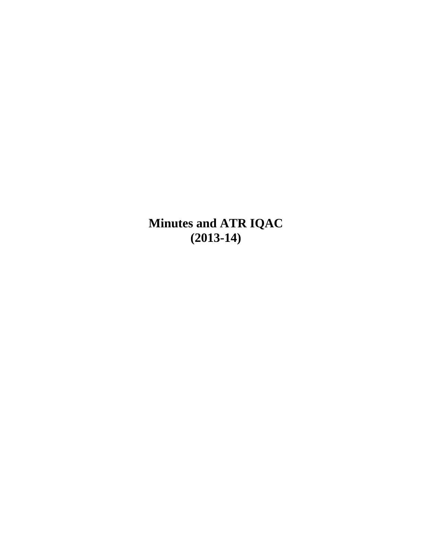**Minutes and ATR IQAC (2013-14)**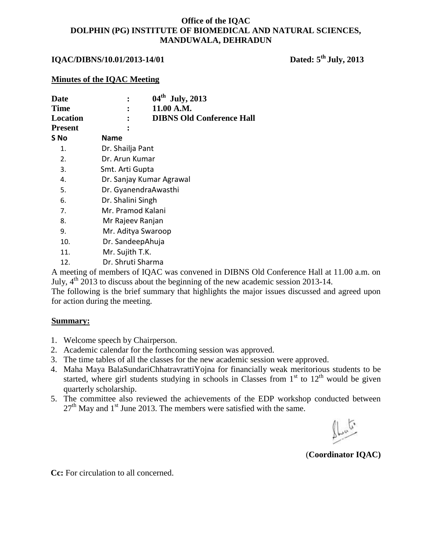## **IQAC/DIBNS/10.01/2013-14/01 Dated: 5th July, 2013**

#### **Minutes of the IQAC Meeting**

| Date           | $04^{\text{th}}$<br><b>July, 2013</b> |  |
|----------------|---------------------------------------|--|
| <b>Time</b>    | 11.00 A.M.                            |  |
| Location       | <b>DIBNS Old Conference Hall</b>      |  |
| <b>Present</b> |                                       |  |
| S No           | Name                                  |  |
| 1.             | Dr. Shailja Pant                      |  |
| 2.             | Dr. Arun Kumar                        |  |
| 3.             | Smt. Arti Gupta                       |  |
| 4.             | Dr. Sanjay Kumar Agrawal              |  |
| 5.             | Dr. GyanendraAwasthi                  |  |
| 6.             | Dr. Shalini Singh                     |  |
| 7.             | Mr. Pramod Kalani                     |  |
| 8.             | Mr Rajeev Ranjan                      |  |
| 9.             | Mr. Aditya Swaroop                    |  |
| 10.            | Dr. SandeepAhuja                      |  |
| 11.            | Mr. Sujith T.K.                       |  |
| 12.            | Dr. Shruti Sharma                     |  |
|                |                                       |  |

A meeting of members of IQAC was convened in DIBNS Old Conference Hall at 11.00 a.m. on July,  $4<sup>th</sup>$  2013 to discuss about the beginning of the new academic session 2013-14.

The following is the brief summary that highlights the major issues discussed and agreed upon for action during the meeting.

#### **Summary:**

- 1. Welcome speech by Chairperson.
- 2. Academic calendar for the forthcoming session was approved.
- 3. The time tables of all the classes for the new academic session were approved.
- 4. Maha Maya BalaSundariChhatravrattiYojna for financially weak meritorious students to be started, where girl students studying in schools in Classes from  $1<sup>st</sup>$  to  $12<sup>th</sup>$  would be given quarterly scholarship.
- 5. The committee also reviewed the achievements of the EDP workshop conducted between  $27<sup>th</sup>$  May and 1<sup>st</sup> June 2013. The members were satisfied with the same.

(**Coordinator IQAC)**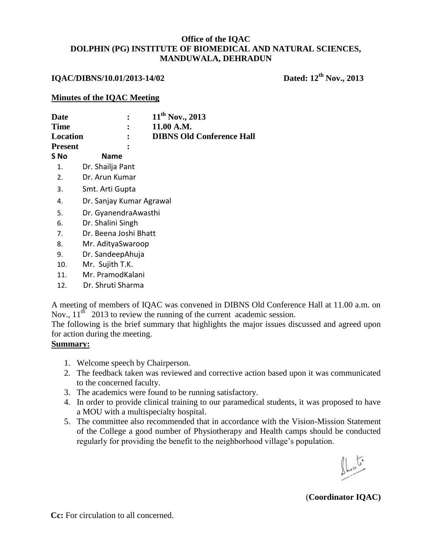## **IQAC/DIBNS/10.01/2013-14/02 Dated: 12th Nov., 2013**

#### **Minutes of the IQAC Meeting**

| Date           | 11 <sup>th</sup> Nov., 2013      |  |  |
|----------------|----------------------------------|--|--|
| <b>Time</b>    | 11.00 A.M.                       |  |  |
| Location       | <b>DIBNS Old Conference Hall</b> |  |  |
| <b>Present</b> |                                  |  |  |
| S No           | <b>Name</b>                      |  |  |
| 1.             | Dr. Shailja Pant                 |  |  |
| 2.             | Dr. Arun Kumar                   |  |  |
| 3.             | Smt. Arti Gupta                  |  |  |
| 4.             | Dr. Sanjay Kumar Agrawal         |  |  |
| 5.             | Dr. GyanendraAwasthi             |  |  |
| 6.             | Dr. Shalini Singh                |  |  |
| 7.             | Dr. Beena Joshi Bhatt            |  |  |
| 8.             | Mr. AdityaSwaroop                |  |  |
| 9.             | Dr. SandeepAhuja                 |  |  |
| 10.            | Mr. Sujith T.K.                  |  |  |
| 11.            | Mr. PramodKalani                 |  |  |

12. Dr. Shruti Sharma

A meeting of members of IQAC was convened in DIBNS Old Conference Hall at 11.00 a.m. on Nov.,  $11^{th}$  2013 to review the running of the current academic session.

The following is the brief summary that highlights the major issues discussed and agreed upon for action during the meeting.

### **Summary:**

- 1. Welcome speech by Chairperson.
- 2. The feedback taken was reviewed and corrective action based upon it was communicated to the concerned faculty.
- 3. The academics were found to be running satisfactory.
- 4. In order to provide clinical training to our paramedical students, it was proposed to have a MOU with a multispecialty hospital.
- 5. The committee also recommended that in accordance with the Vision-Mission Statement of the College a good number of Physiotherapy and Health camps should be conducted regularly for providing the benefit to the neighborhood village's population.

(**Coordinator IQAC)**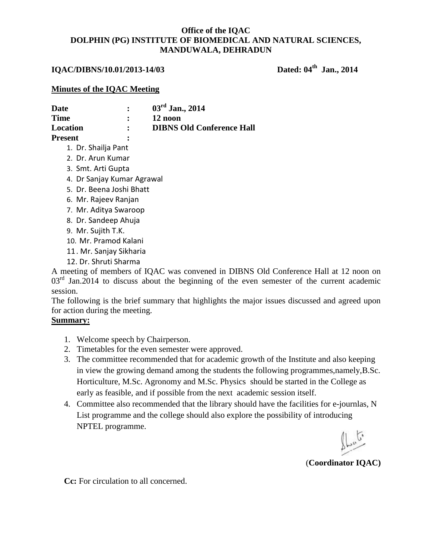#### **IQAC/DIBNS/10.01/2013-14/03**

Dated: 04<sup>th</sup> Jan., 2014

#### **Minutes of the IQAC Meeting**

| Date           |   | $03^{\rm rd}$ Jan., 2014         |
|----------------|---|----------------------------------|
| <b>Time</b>    |   | 12 noon                          |
| Location       |   | <b>DIBNS Old Conference Hall</b> |
| <b>Present</b> | ፡ |                                  |

- 1. Dr. Shailja Pant 2. Dr. Arun Kumar
- 3. Smt. Arti Gupta
- 4. Dr Sanjay Kumar Agrawal
- 5. Dr. Beena Joshi Bhatt
- 6. Mr. Rajeev Ranjan
- 7. Mr. Aditya Swaroop
- 8. Dr. Sandeep Ahuja
- 9. Mr. Sujith T.K.
- 10. Mr. Pramod Kalani
- 11. Mr. Sanjay Sikharia
- 12. Dr. Shruti Sharma

A meeting of members of IQAC was convened in DIBNS Old Conference Hall at 12 noon on  $03<sup>rd</sup>$  Jan.2014 to discuss about the beginning of the even semester of the current academic session.

The following is the brief summary that highlights the major issues discussed and agreed upon for action during the meeting.

### **Summary:**

- 1. Welcome speech by Chairperson.
- 2. Timetables for the even semester were approved.
- 3. The committee recommended that for academic growth of the Institute and also keeping in view the growing demand among the students the following programmes,namely,B.Sc. Horticulture, M.Sc. Agronomy and M.Sc. Physics should be started in the College as early as feasible, and if possible from the next academic session itself.
- 4. Committee also recommended that the library should have the facilities for e-journlas, N List programme and the college should also explore the possibility of introducing NPTEL programme.

(**Coordinator IQAC)**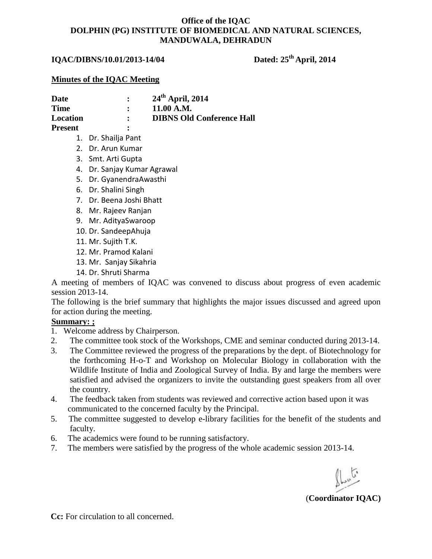## **IQAC/DIBNS/10.01/2013-14/04 Dated: 25th April, 2014**

#### **Minutes of the IQAC Meeting**

| Date           |   | $24th$ April, 2014               |
|----------------|---|----------------------------------|
| <b>Time</b>    |   | 11.00 A.M.                       |
| Location       |   | <b>DIBNS Old Conference Hall</b> |
| <b>Present</b> | ፡ |                                  |

- 1. Dr. Shailja Pant
- 2. Dr. Arun Kumar
- 3. Smt. Arti Gupta
- 4. Dr. Sanjay Kumar Agrawal
- 5. Dr. GyanendraAwasthi
- 6. Dr. Shalini Singh
- 7. Dr. Beena Joshi Bhatt
- 8. Mr. Rajeev Ranjan
- 9. Mr. AdityaSwaroop
- 10. Dr. SandeepAhuja
- 11. Mr. Sujith T.K.
- 12. Mr. Pramod Kalani
- 13. Mr. Sanjay Sikahria
- 14. Dr. Shruti Sharma

A meeting of members of IQAC was convened to discuss about progress of even academic session 2013-14.

The following is the brief summary that highlights the major issues discussed and agreed upon for action during the meeting.

#### **Summary: ;**

- 1. Welcome address by Chairperson.
- 2. The committee took stock of the Workshops, CME and seminar conducted during 2013-14.
- 3. The Committee reviewed the progress of the preparations by the dept. of Biotechnology for the forthcoming H-o-T and Workshop on Molecular Biology in collaboration with the Wildlife Institute of India and Zoological Survey of India. By and large the members were satisfied and advised the organizers to invite the outstanding guest speakers from all over the country.
- 4. The feedback taken from students was reviewed and corrective action based upon it was communicated to the concerned faculty by the Principal.
- 5. The committee suggested to develop e-library facilities for the benefit of the students and faculty.
- 6. The academics were found to be running satisfactory.
- 7. The members were satisfied by the progress of the whole academic session 2013-14.

(**Coordinator IQAC)**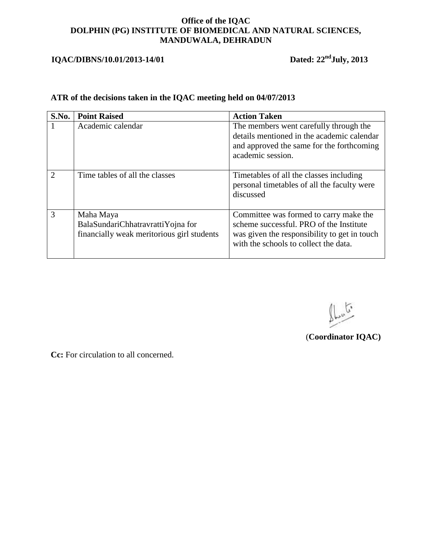# **IQAC/DIBNS/10.01/2013-14/01** Dated: 22<sup>nd</sup>July, 2013

## **ATR of the decisions taken in the IQAC meeting held on 04/07/2013**

| S.No.         | <b>Point Raised</b>                                                                          | <b>Action Taken</b>                                                                                                                                                        |
|---------------|----------------------------------------------------------------------------------------------|----------------------------------------------------------------------------------------------------------------------------------------------------------------------------|
|               | Academic calendar                                                                            | The members went carefully through the<br>details mentioned in the academic calendar<br>and approved the same for the forthcoming<br>academic session.                     |
| $\mathcal{D}$ | Time tables of all the classes                                                               | Timetables of all the classes including<br>personal timetables of all the faculty were<br>discussed                                                                        |
| 3             | Maha Maya<br>BalaSundariChhatravrattiYojna for<br>financially weak meritorious girl students | Committee was formed to carry make the<br>scheme successful. PRO of the Institute<br>was given the responsibility to get in touch<br>with the schools to collect the data. |

فتكيفها

(**Coordinator IQAC)**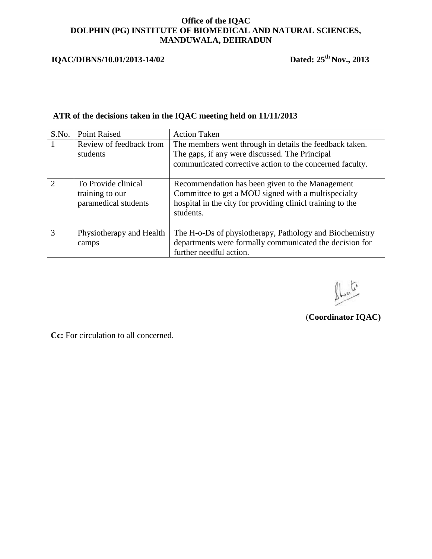## **IQAC/DIBNS/10.01/2013-14/02**

Dated:  $25^{th}$  Nov., 2013

## **ATR of the decisions taken in the IQAC meeting held on 11/11/2013**

| S.No.         | <b>Point Raised</b>                                            | <b>Action Taken</b>                                                                                                                                                               |
|---------------|----------------------------------------------------------------|-----------------------------------------------------------------------------------------------------------------------------------------------------------------------------------|
|               | Review of feedback from<br>students                            | The members went through in details the feedback taken.<br>The gaps, if any were discussed. The Principal<br>communicated corrective action to the concerned faculty.             |
| $\mathcal{D}$ | To Provide clinical<br>training to our<br>paramedical students | Recommendation has been given to the Management<br>Committee to get a MOU signed with a multispecialty<br>hospital in the city for providing clinicl training to the<br>students. |
| $\mathcal{R}$ | Physiotherapy and Health<br>camps                              | The H-o-Ds of physiotherapy, Pathology and Biochemistry<br>departments were formally communicated the decision for<br>further needful action.                                     |

 $\mathbb{L}^{\mathfrak{c}}$ 

(**Coordinator IQAC)**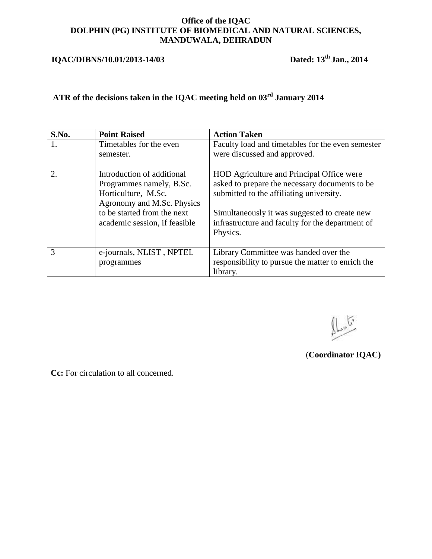# **IQAC/DIBNS/10.01/2013-14/03 Dated: 13th Jan., 2014**

# **ATR of the decisions taken in the IQAC meeting held on 03rd January 2014**

| S.No. | <b>Point Raised</b>                                                                                                                                                         | <b>Action Taken</b>                                                                                                                                                                                                                                      |
|-------|-----------------------------------------------------------------------------------------------------------------------------------------------------------------------------|----------------------------------------------------------------------------------------------------------------------------------------------------------------------------------------------------------------------------------------------------------|
| 1.    | Timetables for the even<br>semester.                                                                                                                                        | Faculty load and timetables for the even semester<br>were discussed and approved.                                                                                                                                                                        |
| 2.    | Introduction of additional<br>Programmes namely, B.Sc.<br>Horticulture, M.Sc.<br>Agronomy and M.Sc. Physics<br>to be started from the next<br>academic session, if feasible | HOD Agriculture and Principal Office were<br>asked to prepare the necessary documents to be<br>submitted to the affiliating university.<br>Simultaneously it was suggested to create new<br>infrastructure and faculty for the department of<br>Physics. |
| 3     | e-journals, NLIST, NPTEL<br>programmes                                                                                                                                      | Library Committee was handed over the<br>responsibility to pursue the matter to enrich the<br>library.                                                                                                                                                   |

 $\int_{\mathbb{R}^{n}}$ 

(**Coordinator IQAC)**